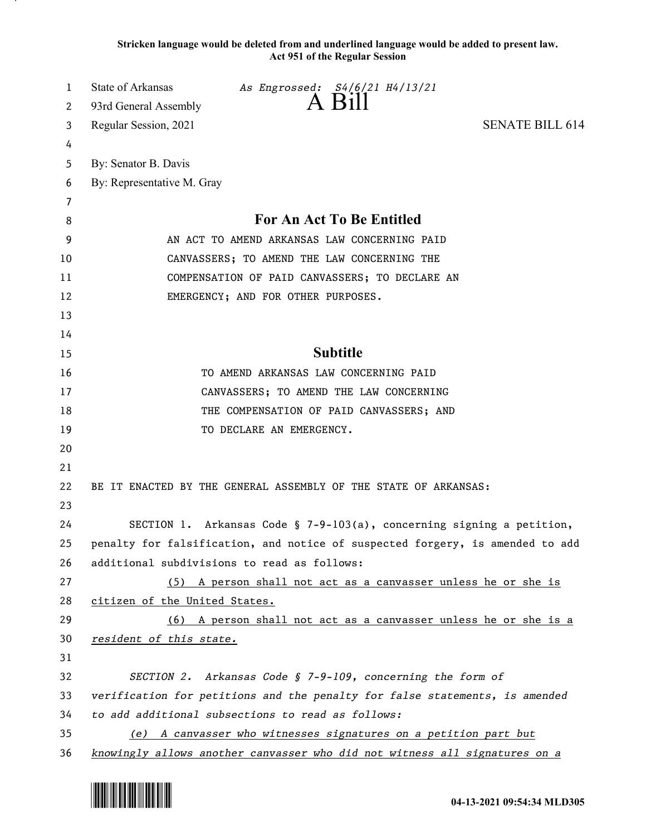**Stricken language would be deleted from and underlined language would be added to present law. Act 951 of the Regular Session**

| 1  | State of Arkansas<br>As Engrossed: S4/6/21 H4/13/21                           |
|----|-------------------------------------------------------------------------------|
| 2  | A Bill<br>93rd General Assembly                                               |
| 3  | <b>SENATE BILL 614</b><br>Regular Session, 2021                               |
| 4  |                                                                               |
| 5  | By: Senator B. Davis                                                          |
| 6  | By: Representative M. Gray                                                    |
| 7  |                                                                               |
| 8  | For An Act To Be Entitled                                                     |
| 9  | AN ACT TO AMEND ARKANSAS LAW CONCERNING PAID                                  |
| 10 | CANVASSERS; TO AMEND THE LAW CONCERNING THE                                   |
| 11 | COMPENSATION OF PAID CANVASSERS; TO DECLARE AN                                |
| 12 | EMERGENCY; AND FOR OTHER PURPOSES.                                            |
| 13 |                                                                               |
| 14 |                                                                               |
| 15 | <b>Subtitle</b>                                                               |
| 16 | TO AMEND ARKANSAS LAW CONCERNING PAID                                         |
| 17 | CANVASSERS; TO AMEND THE LAW CONCERNING                                       |
| 18 | THE COMPENSATION OF PAID CANVASSERS; AND                                      |
| 19 | TO DECLARE AN EMERGENCY.                                                      |
| 20 |                                                                               |
| 21 |                                                                               |
| 22 | BE IT ENACTED BY THE GENERAL ASSEMBLY OF THE STATE OF ARKANSAS:               |
| 23 |                                                                               |
| 24 | SECTION 1. Arkansas Code § 7-9-103(a), concerning signing a petition,         |
| 25 | penalty for falsification, and notice of suspected forgery, is amended to add |
| 26 | additional subdivisions to read as follows:                                   |
| 27 | (5) A person shall not act as a canvasser unless he or she is                 |
| 28 | citizen of the United States.                                                 |
| 29 | (6) A person shall not act as a canvasser unless he or she is a               |
| 30 | resident of this state.                                                       |
| 31 |                                                                               |
| 32 | SECTION 2. Arkansas Code § 7-9-109, concerning the form of                    |
| 33 | verification for petitions and the penalty for false statements, is amended   |
| 34 | to add additional subsections to read as follows:                             |
| 35 | (e) A canvasser who witnesses signatures on a petition part but               |
| 36 | knowingly allows another canvasser who did not witness all signatures on a    |

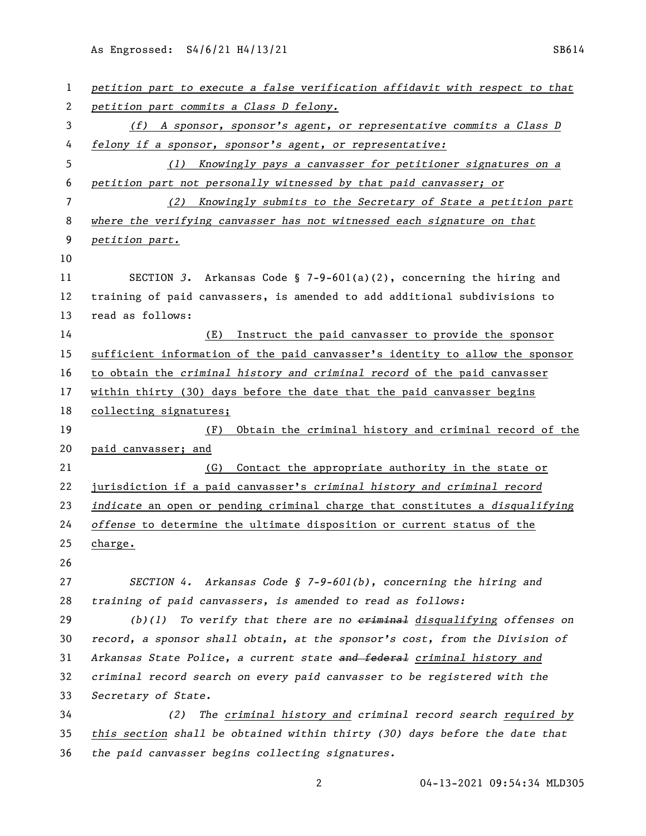As Engrossed: S4/6/21 H4/13/21 SB614

| $\mathbf{1}$ | petition part to execute a false verification affidavit with respect to that      |
|--------------|-----------------------------------------------------------------------------------|
| 2            | petition part commits a Class D felony.                                           |
| 3            | $(f)$ A sponsor, sponsor's agent, or representative commits a Class D             |
| 4            | felony if a sponsor, sponsor's agent, or representative:                          |
| 5            | Knowingly pays a canvasser for petitioner signatures on a<br>(1)                  |
| 6            | petition part not personally witnessed by that paid canvasser; or                 |
| 7            | (2)<br>Knowingly submits to the Secretary of State a petition part                |
| 8            | where the verifying canvasser has not witnessed each signature on that            |
| 9            | petition part.                                                                    |
| 10           |                                                                                   |
| 11           | SECTION 3. Arkansas Code § 7-9-601(a)(2), concerning the hiring and               |
| 12           | training of paid canvassers, is amended to add additional subdivisions to         |
| 13           | read as follows:                                                                  |
| 14           | (E)<br>Instruct the paid canvasser to provide the sponsor                         |
| 15           | sufficient information of the paid canvasser's identity to allow the sponsor      |
| 16           | to obtain the criminal history and criminal record of the paid canvasser          |
| 17           | within thirty (30) days before the date that the paid canvasser begins            |
| 18           | collecting signatures;                                                            |
| 19           | Obtain the criminal history and criminal record of the<br>(F)                     |
| 20           | paid canvasser; and                                                               |
| 21           | Contact the appropriate authority in the state or<br>(G)                          |
| 22           | jurisdiction if a paid canvasser's criminal history and criminal record           |
|              |                                                                                   |
| 23           | indicate an open or pending criminal charge that constitutes a disqualifying      |
| 24           | offense to determine the ultimate disposition or current status of the            |
| 25           | charge.                                                                           |
| 26           |                                                                                   |
| 27           | SECTION 4. Arkansas Code § 7-9-601(b), concerning the hiring and                  |
| 28           | training of paid canvassers, is amended to read as follows:                       |
| 29           | $(b)(1)$ To verify that there are no $\epsilon$ riminal disqualifying offenses on |
| 30           | record, a sponsor shall obtain, at the sponsor's cost, from the Division of       |
| 31           | Arkansas State Police, a current state and federal criminal history and           |
| 32           | criminal record search on every paid canvasser to be registered with the          |
| 33           | Secretary of State.                                                               |
| 34           | The criminal history and criminal record search required by<br>(2)                |
| 35           | this section shall be obtained within thirty (30) days before the date that       |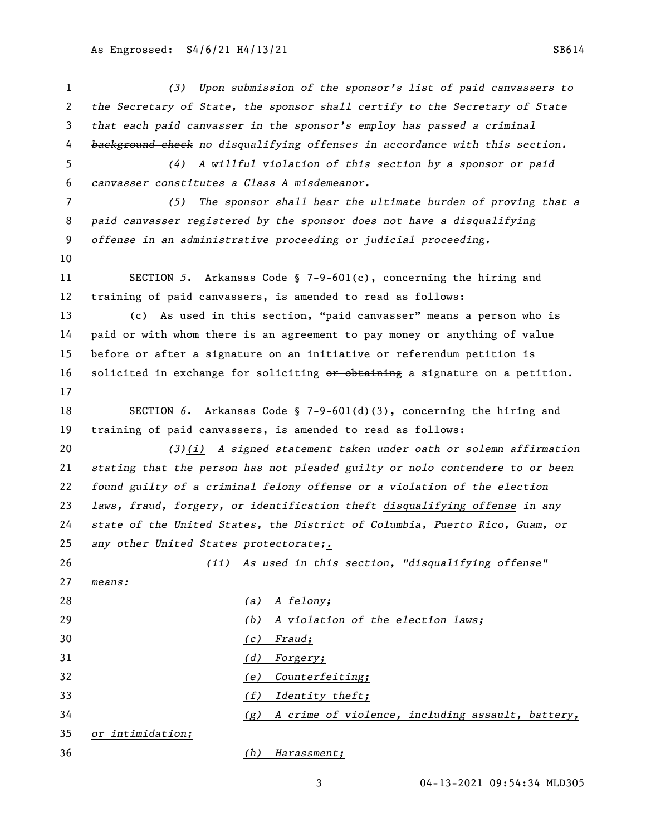| $\mathbf{1}$   |                                              | (3) Upon submission of the sponsor's list of paid canvassers to              |
|----------------|----------------------------------------------|------------------------------------------------------------------------------|
| $\mathbf{2}$   |                                              | the Secretary of State, the sponsor shall certify to the Secretary of State  |
| 3              |                                              | that each paid canvasser in the sponsor's employ has passed a eriminal       |
| 4              |                                              | background check no disqualifying offenses in accordance with this section.  |
| 5              | (4)                                          | A willful violation of this section by a sponsor or paid                     |
| 6              | canvasser constitutes a Class A misdemeanor. |                                                                              |
| $\overline{7}$ |                                              | (5) The sponsor shall bear the ultimate burden of proving that a             |
| 8              |                                              | paid canvasser registered by the sponsor does not have a disqualifying       |
| 9              |                                              | offense in an administrative proceeding or judicial proceeding.              |
| 10             |                                              |                                                                              |
| 11             |                                              | SECTION 5. Arkansas Code § 7-9-601(c), concerning the hiring and             |
| 12             |                                              | training of paid canvassers, is amended to read as follows:                  |
| 13             |                                              | (c) As used in this section, "paid canvasser" means a person who is          |
| 14             |                                              | paid or with whom there is an agreement to pay money or anything of value    |
| 15             |                                              | before or after a signature on an initiative or referendum petition is       |
| 16             |                                              | solicited in exchange for soliciting or obtaining a signature on a petition. |
| 17             |                                              |                                                                              |
| 18             |                                              | SECTION 6. Arkansas Code § 7-9-601(d)(3), concerning the hiring and          |
| 19             |                                              | training of paid canvassers, is amended to read as follows:                  |
| 20             |                                              | $(3)(i)$ A signed statement taken under oath or solemn affirmation           |
| 21             |                                              | stating that the person has not pleaded guilty or nolo contendere to or been |
| 22             |                                              | found guilty of a eriminal felony offense or a violation of the election     |
| 23             |                                              | laws, fraud, forgery, or identification theft disqualifying offense in any   |
| 24             |                                              | state of the United States, the District of Columbia, Puerto Rico, Guam, or  |
| 25             | any other United States protectorate;.       |                                                                              |
| 26             |                                              | (ii) As used in this section, "disqualifying offense"                        |
| 27             | means:                                       |                                                                              |
| 28             |                                              | (a) A felony;                                                                |
| 29             |                                              | A violation of the election laws;<br>(b)                                     |
| 30             |                                              | Fraud;<br>(c)                                                                |
| 31             |                                              | (d)<br><u>Forgery;</u>                                                       |
| 32             |                                              | Counterfeiting;<br>(e)                                                       |
| 33             |                                              | Identity theft;<br>(f)                                                       |
| 34             |                                              | A crime of violence, including assault, battery,<br>(g)                      |
| 35             | or intimidation;                             |                                                                              |
| 36             |                                              | Harassment;<br>(h)                                                           |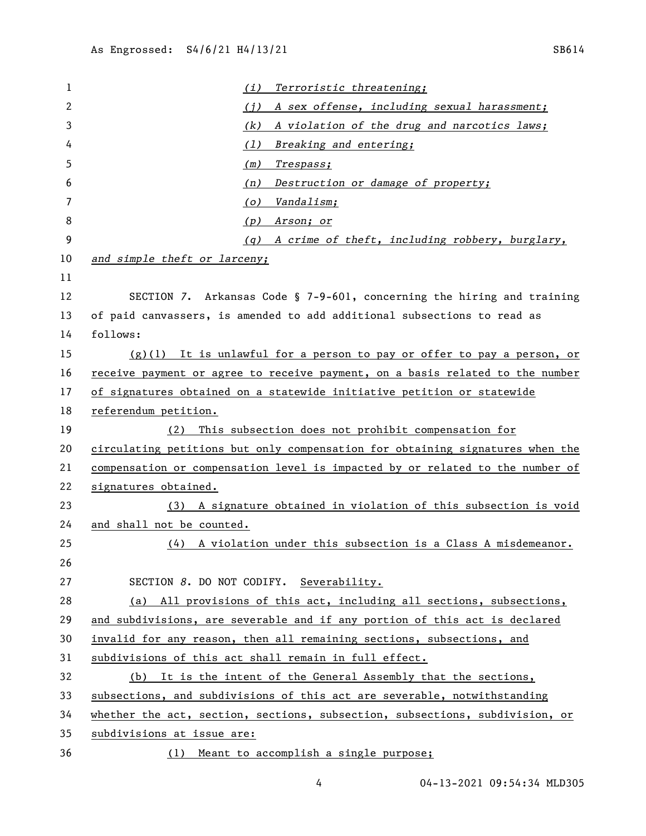*(i) Terroristic threatening; (j) A sex offense, including sexual harassment; (k) A violation of the drug and narcotics laws; (l) Breaking and entering; (m) Trespass; (n) Destruction or damage of property; (o) Vandalism; (p) Arson; or (q) A crime of theft, including robbery, burglary, and simple theft or larceny;* SECTION *7*. Arkansas Code § 7-9-601, concerning the hiring and training of paid canvassers, is amended to add additional subsections to read as follows: (g)(1) It is unlawful for a person to pay or offer to pay a person, or receive payment or agree to receive payment, on a basis related to the number of signatures obtained on a statewide initiative petition or statewide referendum petition. (2) This subsection does not prohibit compensation for circulating petitions but only compensation for obtaining signatures when the compensation or compensation level is impacted by or related to the number of signatures obtained. (3) A signature obtained in violation of this subsection is void and shall not be counted. (4) A violation under this subsection is a Class A misdemeanor. SECTION *8*. DO NOT CODIFY. Severability. (a) All provisions of this act, including all sections, subsections, and subdivisions, are severable and if any portion of this act is declared invalid for any reason, then all remaining sections, subsections, and subdivisions of this act shall remain in full effect. (b) It is the intent of the General Assembly that the sections, subsections, and subdivisions of this act are severable, notwithstanding whether the act, section, sections, subsection, subsections, subdivision, or subdivisions at issue are:

- 
- (1) Meant to accomplish a single purpose;
	-